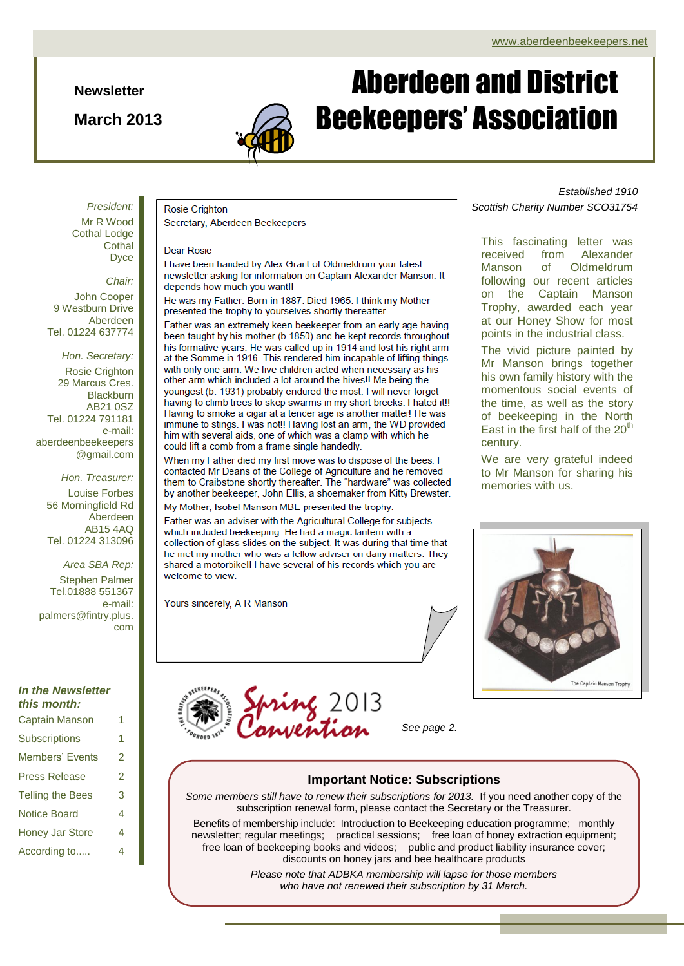**Newsletter**

**March 2013**



# Aberdeen and District Beekeepers' Association

*President:* Mr R Wood Cothal Lodge **Cothal** Dyce

*Chair:* John Cooper

9 Westburn Drive Aberdeen Tel. 01224 637774

*Hon. Secretary:* Rosie Crighton 29 Marcus Cres. **Blackburn** AB21 0SZ Tel. 01224 791181 e-mail: aberdeenbeekeepers @gmail.com

*Hon. Treasurer:* Louise Forbes 56 Morningfield Rd Aberdeen AB15 4AQ Tel. 01224 313096

*Area SBA Rep:*

Stephen Palmer Tel.01888 551367 e-mail: palmers@fintry.plus. com

### *In the Newsletter this month:*

Captain Manson 1

| Captain Manson          |   |
|-------------------------|---|
| <b>Subscriptions</b>    | 1 |
| <b>Members' Events</b>  | 2 |
| <b>Press Release</b>    | 2 |
| <b>Telling the Bees</b> | 3 |
| Notice Board            | 4 |
| <b>Honey Jar Store</b>  | 4 |
| According to            | 4 |

## **Rosie Crighton**

Secretary, Aberdeen Beekeepers

### Dear Rosie

I have been handed by Alex Grant of Oldmeldrum your latest newsletter asking for information on Captain Alexander Manson. It depends how much you want!!

He was my Father. Born in 1887. Died 1965. I think my Mother presented the trophy to yourselves shortly thereafter.

Father was an extremely keen beekeeper from an early age having been taught by his mother (b.1850) and he kept records throughout his formative years. He was called up in 1914 and lost his right arm at the Somme in 1916. This rendered him incapable of lifting things with only one arm. We five children acted when necessary as his other arm which included a lot around the hives!! Me being the youngest (b. 1931) probably endured the most. I will never forget having to climb trees to skep swarms in my short breeks. I hated it!! Having to smoke a cigar at a tender age is another matter! He was immune to stings. I was not!! Having lost an arm, the WD provided him with several aids, one of which was a clamp with which he could lift a comb from a frame single handedly.

When my Father died my first move was to dispose of the bees. I contacted Mr Deans of the College of Agriculture and he removed them to Craibstone shortly thereafter. The "hardware" was collected by another beekeeper, John Ellis, a shoemaker from Kitty Brewster. My Mother, Isobel Manson MBE presented the trophy.

Father was an adviser with the Agricultural College for subjects which included beekeeping. He had a magic lantern with a collection of glass slides on the subject. It was during that time that he met my mother who was a fellow adviser on dairy matters. They shared a motorbike!! I have several of his records which you are

Yours sincerely, A R Manson

welcome to view.

*Established 1910 Scottish Charity Number SCO31754*

This fascinating letter was received from Alexander Manson of Oldmeldrum following our recent articles on the Captain Manson Trophy, awarded each year at our Honey Show for most points in the industrial class.

The vivid picture painted by Mr Manson brings together his own family history with the momentous social events of the time, as well as the story of beekeeping in the North East in the first half of the  $20<sup>th</sup>$ century.

We are very grateful indeed to Mr Manson for sharing his memories with us.



*See page 2.*

### **Important Notice: Subscriptions**

*Some members still have to renew their subscriptions for 2013.* If you need another copy of the subscription renewal form, please contact the Secretary or the Treasurer.

Benefits of membership include:Introduction to Beekeeping education programme; monthly newsletter; regular meetings; practical sessions; free loan of honey extraction equipment; free loan of beekeeping books and videos; public and product liability insurance cover; discounts on honey jars and bee healthcare products

> *Please note that ADBKA membership will lapse for those members who have not renewed their subscription by 31 March.*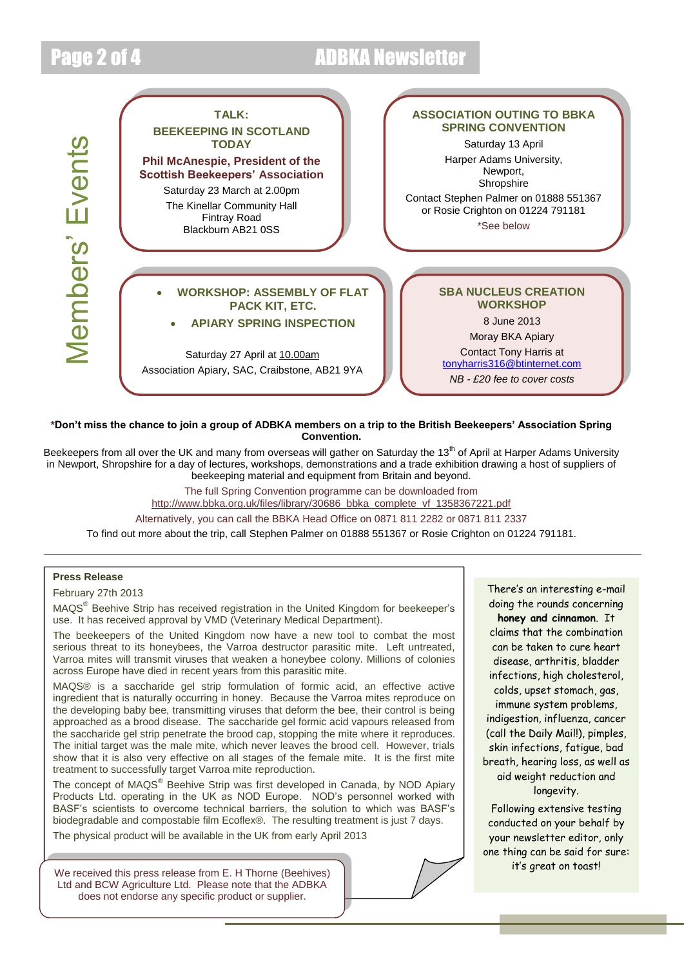## Page 2 of 4 ADBKA Newsletter



### **\*Don't miss the chance to join a group of ADBKA members on a trip to the British Beekeepers' Association Spring Convention.**

Beekeepers from all over the UK and many from overseas will gather on Saturday the 13<sup>th</sup> of April at Harper Adams University in Newport, Shropshire for a day of lectures, workshops, demonstrations and a trade exhibition drawing a host of suppliers of beekeeping material and equipment from Britain and beyond.

> The full Spring Convention programme can be downloaded from [http://www.bbka.org.uk/files/library/30686\\_bbka\\_complete\\_vf\\_1358367221.pdf](http://www.bbka.org.uk/files/library/30686_bbka_complete_vf_1358367221.pdf)

Alternatively, you can call the BBKA Head Office on 0871 811 2282 or 0871 811 2337

To find out more about the trip, call Stephen Palmer on 01888 551367 or Rosie Crighton on 01224 791181.

### **Press Release**

February 27th 2013

MAQS<sup>®</sup> Beehive Strip has received registration in the United Kingdom for beekeeper's use. It has received approval by VMD (Veterinary Medical Department).

The beekeepers of the United Kingdom now have a new tool to combat the most serious threat to its honeybees, the Varroa destructor parasitic mite. Left untreated, Varroa mites will transmit viruses that weaken a honeybee colony. Millions of colonies across Europe have died in recent years from this parasitic mite.

MAQS® is a saccharide gel strip formulation of formic acid, an effective active ingredient that is naturally occurring in honey. Because the Varroa mites reproduce on the developing baby bee, transmitting viruses that deform the bee, their control is being approached as a brood disease. The saccharide gel formic acid vapours released from the saccharide gel strip penetrate the brood cap, stopping the mite where it reproduces. The initial target was the male mite, which never leaves the brood cell. However, trials show that it is also very effective on all stages of the female mite. It is the first mite treatment to successfully target Varroa mite reproduction.

The concept of MAQS<sup>®</sup> Beehive Strip was first developed in Canada, by NOD Apiary Products Ltd. operating in the UK as NOD Europe. NOD's personnel worked with BASF's scientists to overcome technical barriers, the solution to which was BASF's biodegradable and compostable film Ecoflex®. The resulting treatment is just 7 days.

The physical product will be available in the UK from early April 2013

We received this press release from E. H Thorne (Beehives) Ltd and BCW Agriculture Ltd. Please note that the ADBKA does not endorse any specific product or supplier.

There's an interesting e-mail doing the rounds concerning **honey and cinnamon**. It claims that the combination can be taken to cure heart disease, arthritis, bladder infections, high cholesterol, colds, upset stomach, gas, immune system problems, indigestion, influenza, cancer (call the Daily Mail!), pimples, skin infections, fatigue, bad breath, hearing loss, as well as aid weight reduction and longevity.

Following extensive testing conducted on your behalf by your newsletter editor, only one thing can be said for sure: it's great on toast!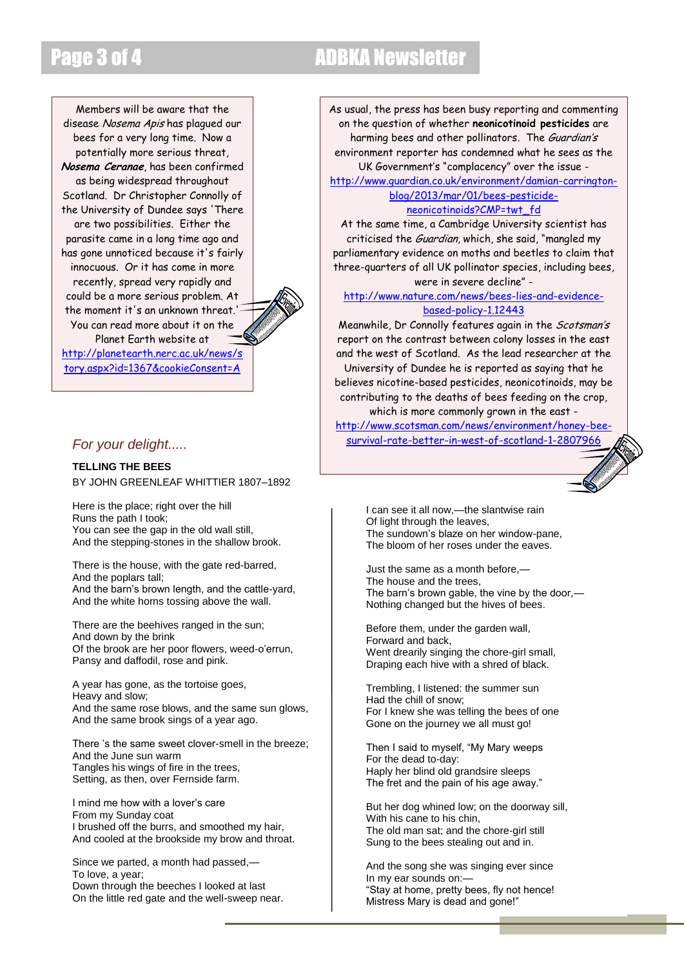## Page 3 of 4 ADBKA Newsletter

Members will be aware that the disease Nosema Apis has plagued our bees for a very long time. Now a potentially more serious threat, **Nosema Ceranae**, has been confirmed as being widespread throughout Scotland. Dr Christopher Connolly of the University of Dundee says 'There are two possibilities. Either the parasite came in a long time ago and has gone unnoticed because it's fairly innocuous. Or it has come in more recently, spread very rapidly and could be a more serious problem. At the moment it's an unknown threat.' You can read more about it on the Planet Earth website at [http://planetearth.nerc.ac.uk/news/s](http://planetearth.nerc.ac.uk/news/story.aspx?id=1367&cookieConsent=A) [tory.aspx?id=1367&cookieConsent=A](http://planetearth.nerc.ac.uk/news/story.aspx?id=1367&cookieConsent=A)

### *For your delight.....*

**[TELLING THE BEES](http://www.poetryfoundation.org/poem/174759#poem)** B[Y JOHN GREENLEAF WHITTIER](http://www.poetryfoundation.org/bio/john-greenleaf-whittier) 1807–1892

Here is the place; right over the hill Runs the path I took; You can see the gap in the old wall still, And the stepping-stones in the shallow brook.

There is the house, with the gate red-barred, And the poplars tall; And the barn's brown length, and the cattle-yard, And the white horns tossing above the wall.

There are the beehives ranged in the sun; And down by the brink Of the brook are her poor flowers, weed-o'errun, Pansy and daffodil, rose and pink.

A year has gone, as the tortoise goes, Heavy and slow; And the same rose blows, and the same sun glows, And the same brook sings of a year ago.

There 's the same sweet clover-smell in the breeze; And the June sun warm Tangles his wings of fire in the trees, Setting, as then, over Fernside farm.

I mind me how with a lover's care From my Sunday coat I brushed off the burrs, and smoothed my hair, And cooled at the brookside my brow and throat.

Since we parted, a month had passed,— To love, a year; Down through the beeches I looked at last On the little red gate and the well-sweep near. As usual, the press has been busy reporting and commenting on the question of whether **neonicotinoid pesticides** are harming bees and other pollinators. The Guardian's environment reporter has condemned what he sees as the UK Government's "complacency" over the issue -

[http://www.guardian.co.uk/environment/damian-carrington](http://www.guardian.co.uk/environment/damian-carrington-blog/2013/mar/01/bees-pesticide-neonicotinoids?CMP=twt_fd)[blog/2013/mar/01/bees-pesticide](http://www.guardian.co.uk/environment/damian-carrington-blog/2013/mar/01/bees-pesticide-neonicotinoids?CMP=twt_fd)[neonicotinoids?CMP=twt\\_fd](http://www.guardian.co.uk/environment/damian-carrington-blog/2013/mar/01/bees-pesticide-neonicotinoids?CMP=twt_fd)

At the same time, a Cambridge University scientist has criticised the Guardian, which, she said, "mangled my parliamentary evidence on moths and beetles to claim that three-quarters of all UK pollinator species, including bees, were in severe decline" -

[http://www.nature.com/news/bees-lies-and-evidence](http://www.nature.com/news/bees-lies-and-evidence-based-policy-1.12443)[based-policy-1.12443](http://www.nature.com/news/bees-lies-and-evidence-based-policy-1.12443)

Meanwhile, Dr Connolly features again in the *Scotsman's* report on the contrast between colony losses in the east and the west of Scotland. As the lead researcher at the University of Dundee he is reported as saying that he believes nicotine-based pesticides, neonicotinoids, may be contributing to the deaths of bees feeding on the crop, which is more commonly grown in the east -

[http://www.scotsman.com/news/environment/honey-bee](http://www.scotsman.com/news/environment/honey-bee-survival-rate-better-in-west-of-scotland-1-2807966)[survival-rate-better-in-west-of-scotland-1-2807966](http://www.scotsman.com/news/environment/honey-bee-survival-rate-better-in-west-of-scotland-1-2807966)



I can see it all now,—the slantwise rain Of light through the leaves, The sundown's blaze on her window-pane, The bloom of her roses under the eaves.

Just the same as a month before,— The house and the trees, The barn's brown gable, the vine by the door,— Nothing changed but the hives of bees.

Before them, under the garden wall, Forward and back, Went drearily singing the chore-girl small, Draping each hive with a shred of black.

Trembling, I listened: the summer sun Had the chill of snow; For I knew she was telling the bees of one Gone on the journey we all must go!

Then I said to myself, "My Mary weeps For the dead to-day: Haply her blind old grandsire sleeps The fret and the pain of his age away."

But her dog whined low; on the doorway sill, With his cane to his chin, The old man sat; and the chore-girl still Sung to the bees stealing out and in.

And the song she was singing ever since In my ear sounds on:— "Stay at home, pretty bees, fly not hence! Mistress Mary is dead and gone!"